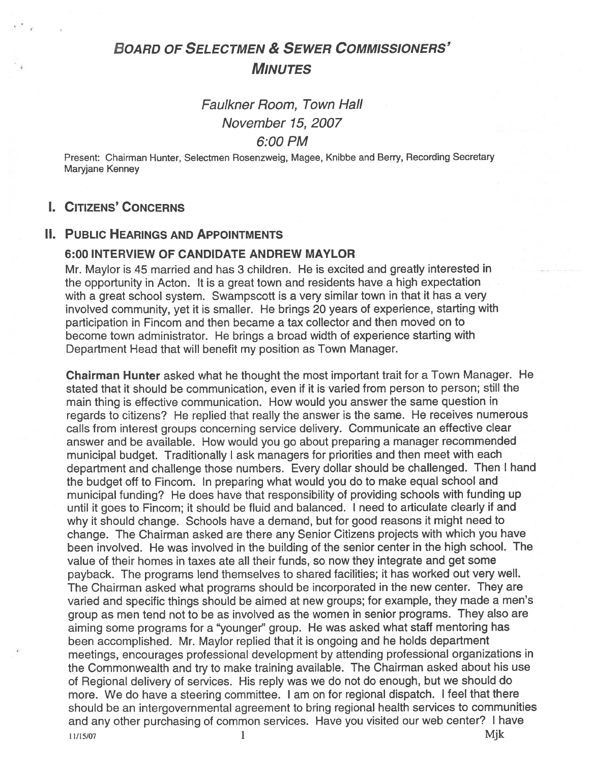# BOARD OF SELECTMEN & SEWER COMMISSIONERS' **MINUTES**

# Faulkner Room, Town Hall November 75, 2007 6:00 PM

Present: Chairman Hunter, Selectmen Rosenzweig, Magee, Knibbe and Berry, Recording Secretary Maryjane Kenney

# I. CITIZENS' CONCERNS

## II. PUBLIC HEARINGS AND APPOINTMENTS

### 6:00 INTERVIEW OF CANDIDATE ANDREW MAYLOR

Mr. Maylor is 45 married and has 3 children. He is excited and greatly interested in the opportunity in Acton. It is <sup>a</sup> grea<sup>t</sup> town and residents have <sup>a</sup> high expectation with a great school system. Swampscott is a very similar town in that it has a very involved community, ye<sup>t</sup> it is smaller. He brings <sup>20</sup> years of experience, starting with participation in Fincom and then became <sup>a</sup> tax collector and then moved on to become town administrator. He brings <sup>a</sup> broad width of experience starting with Department Head that will benefit my position as Town Manager.

Chairman Hunter asked what he thought the most important trait for <sup>a</sup> Town Manager. He stated that it should be communication, even if it is varied from person to person; still the main thing is effective communication. How would you answer the same question in regards to citizens? He replied that really the answer is the same. He receives numerous calls from interest groups concerning service delivery. Communicate an effective clear answer and be available. How would you go about preparing <sup>a</sup> manager recommended municipal budget. Traditionally <sup>I</sup> ask managers for priorities and then meet with each department and challenge those numbers. Every dollar should be challenged. Then <sup>I</sup> hand the budget off to Fincom. In preparing what would you do to make equal school and municipal funding? He does have that responsibility of providing schools with funding up until it goes to Fincom; it should be fluid and balanced. <sup>I</sup> need to articulate clearly if and why it should change. Schools have <sup>a</sup> demand, but for goo<sup>d</sup> reasons it might need to change. The Chairman asked are there any Senior Citizens projects with which you have been involved. He was involved in the building of the senior center in the high school. The value of their homes in taxes ate all their funds, so now they integrate and ge<sup>t</sup> some payback. The programs lend themselves to shared facilities; it has worked out very well. The Chairman asked what programs should be incorporated in the new center. They are varied and specific things should be aimed at new groups; for example, they made <sup>a</sup> men's group as men tend not to be as involved as the women in senior programs. They also are aiming some programs for <sup>a</sup> "younger" group. He was asked what staff mentoring has been accomplished. Mr. Maylor replied that it is ongoing and he holds department meetings, encourages professional development by attending professional organizations in the Commonwealth and try to make training available. The Chairman asked about his use of Regional delivery of services. His reply was we do not do enough, but we should do more. We do have <sup>a</sup> steering committee. <sup>I</sup> am on for regional dispatch. <sup>I</sup> feel that there should be an intergovernmental agreemen<sup>t</sup> to bring regional health services to communities and any other purchasing of common services. Have you visited our web center? <sup>I</sup> have  $1/15/07$  Mjk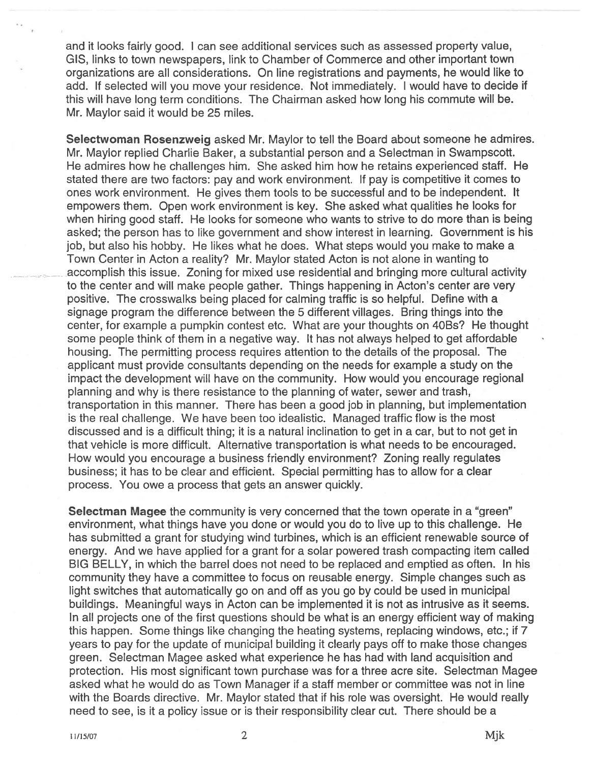and it looks fairly good. <sup>I</sup> can see additional services such as assessed property value, GIS, links to town newspapers, link to Chamber of Commerce and other important town organizations are all considerations. On line registrations and payments, he would like to add, If selected will you move your residence. Not immediately. <sup>I</sup> would have to decide if this will have long term conditions. The Chairman asked how long his commute will be. Mr. Maylor said it would be 25 miles.

Selectwoman Rosenzweig asked Mr. Maylor to tell the Board about someone he admires. Mr. Maylor replied Charlie Baker, a substantial person and a Selectman in Swampscott. He admires how he challenges him. She asked him how he retains experienced staff. He stated there are two factors: pay and work environment, If pay is competitive it comes to ones work environment. He gives them tools to be successful and to be independent. It empowers them. Open work environment is key. She asked what qualities he looks for when hiring good staff. He looks for someone who wants to strive to do more than is being asked; the person has to like governmen<sup>t</sup> and show interest in learning. Government is his job, but also his hobby. He likes what he does. What steps would you make to make <sup>a</sup> Town Center in Acton <sup>a</sup> reality? Mr. Maylor stated Acton is not alone in wanting to accomplish this issue. Zoning for mixed use residential and bringing more cultural activity to the center and will make people gather. Things happening in Acton's center are very positive. The crosswalks being placed for calming traffic is so helpful. Define with <sup>a</sup> signage program the difference between the 5 different villages. Bring things into the center, for example <sup>a</sup> pumpkin contest etc. What are your thoughts on 4OBs? He thought some people think of them in <sup>a</sup> negative way. It has not always helped to ge<sup>t</sup> affordable housing. The permitting process requires attention to the details of the proposal. The applicant must provide consultants depending on the needs for example <sup>a</sup> study on the impact the development will have on the community. How would you encourage regional planning and why is there resistance to the planning of water, sewer and trash, transportation in this manner. There has been <sup>a</sup> good job in planning, but implementation is the real challenge. We have been too idealistic. Managed traffic flow is the most discussed and is <sup>a</sup> difficult thing; it is <sup>a</sup> natural inclination to ge<sup>t</sup> in <sup>a</sup> car, but to not ge<sup>t</sup> in that vehicle is more difficult. Alternative transportation is what needs to be encouraged. How would you encourage <sup>a</sup> business friendly environment? Zoning really regulates business; it has to be clear and efficient. Special permitting has to allow for <sup>a</sup> clear process. You owe <sup>a</sup> process that gets an answer quickly.

Selectman Magee the community is very concerned that the town operate in a "green" environment, what things have you done or would you do to live up to this challenge. He has submitted <sup>a</sup> gran<sup>t</sup> for studying wind turbines, which is an efficient renewable source of energy. And we have applied for <sup>a</sup> gran<sup>t</sup> for <sup>a</sup> solar powered trash compacting item called BIG BELLY, in which the barrel does not need to be replaced and emptied as often. In his community they have <sup>a</sup> committee to focus on reusable energy. Simple changes such as light switches that automatically go on and off as you go by could be used in municipal buildings. Meaningful ways in Acton can be implemented it is not as intrusive as it seems. In all projects one of the first questions should be what is an energy efficient way of making this happen. Some things like changing the heating systems, replacing windows, etc.; if 7 years to pay for the update of municipal building it clearly pays off to make those changes green. Selectman Magee asked what experience he has had with land acquisition and protection. His most significant town purchase was for <sup>a</sup> three acre site. Selectman Magee asked what he would do as Town Manager if <sup>a</sup> staff member or committee was not in line with the Boards directive. Mr. Maylor stated that if his role was oversight. He would really need to see, is it <sup>a</sup> policy issue or is their responsibility clear cut. There should be <sup>a</sup>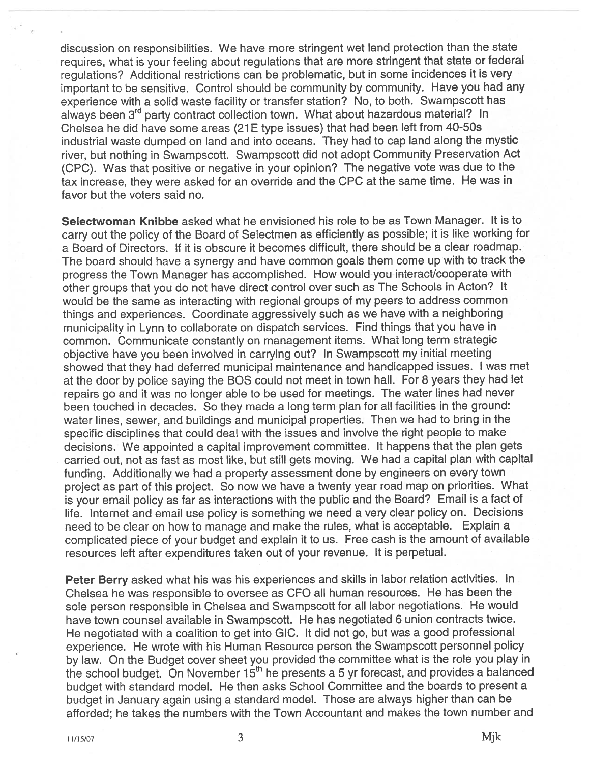discussion on responsibilities. We have more stringent wet land protection than the state requires, what is your feeling about regulations that are more stringent that state or federal regulations? Additional restrictions can be problematic, but in some incidences it is very important to be sensitive. Control should be community by community. Have you had any experience with <sup>a</sup> solid waste facility or transfer station? No, to both. Swampscoff has always been 3rd party contract collection town. What about hazardous material? In Chelsea he did have some areas (21 <sup>E</sup> type issues) that had been left from 40-50s industrial waste dumped on land and into oceans. They had to cap land along the mystic river, but nothing in Swampscoff. Swampscoff did not adopt Community Preservation Act (CPC). Was that positive or negative in your opinion? The negative vote was due to the tax increase, they were asked for an override and the CPC at the same time. He was in favor but the voters said no.

Selectwoman Knibbe asked what he envisioned his role to be as Town Manager. It is to carry out the policy of the Board of Selectmen as efficiently as possible; it is like working for <sup>a</sup> Board of Directors. If it is obscure it becomes difficult, there should be <sup>a</sup> clear roadmap. The board should have <sup>a</sup> synergy and have common goals them come up with to track the progress the Town Manager has accomplished. How would you interact/cooperate with other groups that you do not have direct control over such as The Schools in Acton? It would be the same as interacting with regional groups of my peers to address common things and experiences. Coordinate aggressively such as we have with <sup>a</sup> neighboring municipality in Lynn to collaborate on dispatch services. Find things that you have in common. Communicate constantly on managemen<sup>t</sup> items. What long term strategic objective have you been involved in carrying out? In Swampscoff my initial meeting showed that they had deferred municipal maintenance and handicapped issues. <sup>I</sup> was met at the door by police saying the BOS could not meet in town hall. For <sup>8</sup> years they had let repairs go and it was no longer able to be used for meetings. The water lines had never been touched in decades. So they made <sup>a</sup> long term <sup>p</sup>lan for all facilities in the ground: water lines, sewer, and buildings and municipal properties. Then we had to bring in the specific disciplines that could deal with the issues and involve the right people to make decisions. We appointed <sup>a</sup> capital improvement committee. It happens that the <sup>p</sup>lan gets carried out, not as fast as most like, but still gets moving. We had <sup>a</sup> capital plan with capital funding. Additionally we had <sup>a</sup> property assessment done by engineers on every town project as par<sup>t</sup> of this project. So now we have <sup>a</sup> twenty year road map on priorities. What is your email policy as far as interactions with the public and the Board? Email is <sup>a</sup> fact of life. Internet and email use policy is something we need <sup>a</sup> very clear policy on. Decisions need to be clear on how to manage and make the rules, what is acceptable. Explain a complicated <sup>p</sup>iece of your budget and explain it to us. Free cash is the amount of available resources left after expenditures taken out of your revenue, It is perpetual.

Peter Berry asked what his was his experiences and skills in labor relation activities. In Chelsea he was responsible to oversee as CFO all human resources. He has been the sole person responsible in Chelsea and Swampscott for all labor negotiations. He would have town counsel available in Swampscott. He has negotiated 6 union contracts twice. He negotiated with <sup>a</sup> coalition to ge<sup>t</sup> into GIC. It did not go, but was <sup>a</sup> good professional experience. He wrote with his Human Resource person the Swampscoff personne<sup>l</sup> policy by law. On the Budget cover sheet you provided the committee what is the role you <sup>p</sup>lay in the school budget. On November 15<sup>th</sup> he presents a 5 yr forecast, and provides a balanced budget with standard model. He then asks School Committee and the boards to presen<sup>t</sup> a budget in January again using <sup>a</sup> standard model. Those are always higher than can be afforded; he takes the numbers with the Town Accountant and makes the town number and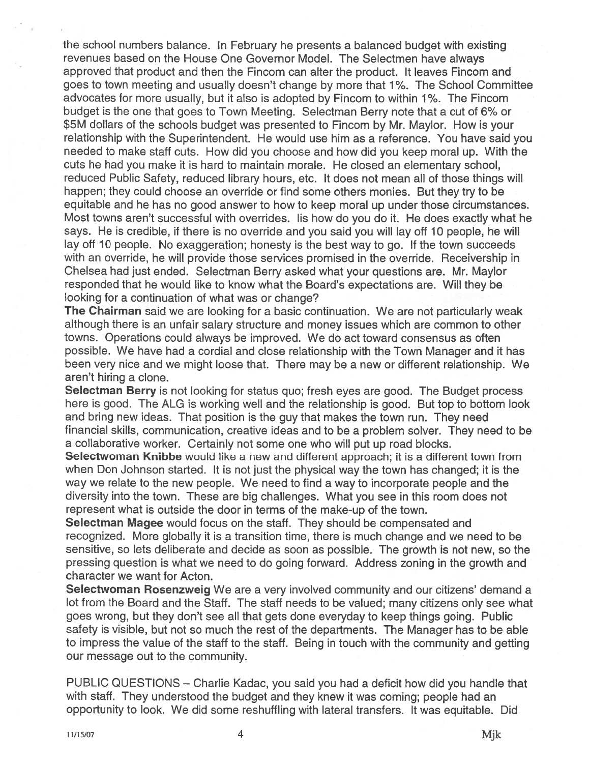the school numbers balance. In February he presents <sup>a</sup> balanced budget with existing revenues based on the House One Governor Model. The Selectmen have always approved that product and then the Fincom can alter the product. It leaves Fincom and goes to town meeting and usually doesn't change by more that 1%. The School Committee advocates for more usually, but it also is adopted by Fincom to within 1 %. The Fincom budget is the one that goes to Town Meeting. Selectman Berry note that <sup>a</sup> cut of 6% or \$5M dollars of the schools budget was presented to Fincom by Mr. Maylor. How is your relationship with the Superintendent. He would use him as <sup>a</sup> reference. You have said you needed to make staff cuts. How did you choose and how did you keep moral up. With the cuts he had you make it is hard to maintain morale. He closed an elementary school, reduced Public Safety, reduced library hours, etc. It does not mean all of those things will happen; they could choose an override or find some others monies. But they try to be equitable and he has no good answer to how to keep moral up under those circumstances. Most towns aren't successful with overrides. I is how do you do it. He does exactly what he says. He is credible, if there is no override and you said you will lay off 10 people, he will lay off <sup>10</sup> people. No exaggeration; honesty is the best way to go. If the town succeeds with an override, he will provide those services promised in the override. Receivership in Chelsea had just ended. Selectman Berry asked what your questions are. Mr. Maylor responded that he would like to know what the Board's expectations are. Will they be looking for a continuation of what was or change?

The Chairman said we are looking for a basic continuation. We are not particularly weak although there is an unfair salary structure and money issues which are common to other towns. Operations could always be improved. We do act toward consensus as often possible. We have had <sup>a</sup> cordial and close relationship with the Town Manager and it has been very nice and we might loose that. There may be <sup>a</sup> new or different relationship. We aren't hiring <sup>a</sup> clone.

Selectman Berry is not looking for status quo; fresh eyes are good. The Budget process here is good. The ALG is working well and the relationship is good. But top to bottom look and bring new ideas. That position is the guy that makes the town run. They need financial skills, communication, creative ideas and to be <sup>a</sup> problem solver. They need to be <sup>a</sup> collaborative worker. Certainly not some one who will pu<sup>t</sup> up road blocks.

Selectwoman Knibbe would like a new and different approach; it is a different town from when Don Johnson started. It is not just the <sup>p</sup>hysical way the town has changed; it is the way we relate to the new people. We need to find <sup>a</sup> way to incorporate people and the diversity into the town. These are big challenges. What you see in this room does not represen<sup>t</sup> what is outside the door in terms of the make-up of the town.

Selectman Magee would focus on the staff. They should be compensated and recognized. More <sup>g</sup>lobally it is <sup>a</sup> transition time, there is much change and we need to be sensitive, so lets deliberate and decide as soon as possible. The growth is not new, so the pressing question is what we need to do going forward. Address zoning in the growth and character we want for Acton.

Selectwoman Rosenzweig We are a very involved community and our citizens' demand a lot from the Board and the Staff. The staff needs to be valued; many citizens only see what goes wrong, but they don't see all that gets done everyday to keep things going. Public safety is visible, but not so much the rest of the departments. The Manager has to be able to impress the value of the staff to the staff. Being in touch with the community and getting our message out to the community.

PUBLIC QUESTIONS — Charlie Kadac, you said you had <sup>a</sup> deficit how did you handle that with staff. They understood the budget and they knew it was coming; people had an opportunity to look. We did some reshuffling with lateral transfers, It was equitable. Did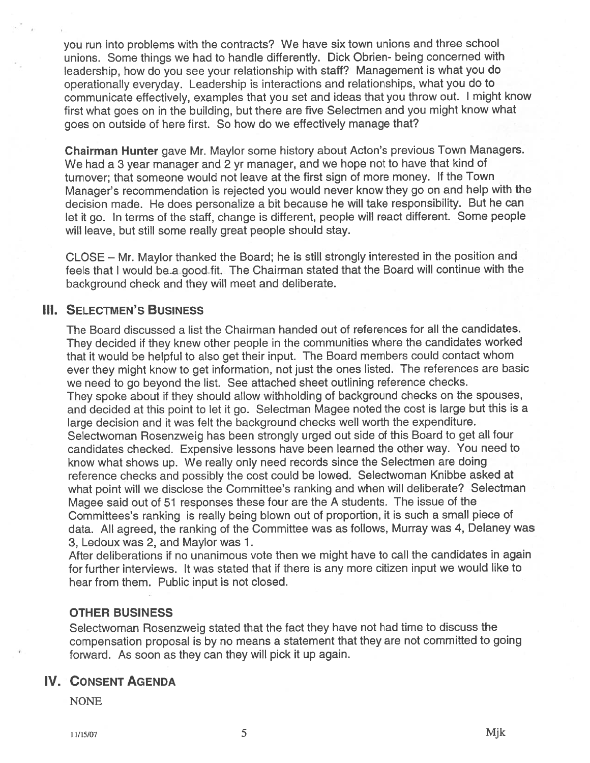you run into problems with the contracts? We have six town unions and three school unions. Some things we had to handle differently. Dick Obrien- being concerned with leadership, how do you see your relationship with staff? Management is what you do operationally everyday. Leadership is interactions and relationships, what you do to communicate effectively, examples that you set and ideas that you throw out. <sup>I</sup> might know first what goes on in the building, but there are five Selectmen and you might know what goes on outside of here first. So how do we effectively manage that?

Chairman Hunter gave Mr. Maylor some history about Acton's previous Town Managers. We had <sup>a</sup> <sup>3</sup> year manager and <sup>2</sup> yr manager, and we hope not to have that kind of turnover; that someone would not leave at the first sign of more money. If the Town Manager's recommendation is rejected you would never know they go on and help with the decision made. He does personalize <sup>a</sup> bit because he will take responsibility. But he can let it go. In terms of the staff, change is different, people will react different. Some people will leave, but still some really grea<sup>t</sup> people should stay.

CLOSE — Mr. Maylor thanked the Board; he is still strongly interested in the position and feels that I would be a good fit. The Chairman stated that the Board will continue with the background check and they will meet and deliberate.

## **III. SELECTMEN'S BUSINESS**

The Board discussed <sup>a</sup> list the Chairman handed out of references for all the candidates. They decided if they knew other people in the communities where the candidates worked that it would be helpful to also ge<sup>t</sup> their input. The Board members could contact whom ever they might know to ge<sup>t</sup> information, not just the ones listed. The references are basic we need to go beyond the list. See attached sheet outlining reference checks. They spoke about if they should allow withholding of background checks on the spouses, and decided at this point to let it go. Selectman Magee noted the cost is large but this is <sup>a</sup> large decision and it was felt the background checks well worth the expenditure. Selectwoman Rosenzweig has been strongly urge<sup>d</sup> out side of this Board to ge<sup>t</sup> all four candidates checked. Expensive lessons have been learned the other way. You need to know what shows up. We really only need records since the Selectmen are doing reference checks and possibly the cost could be lowed. Selectwoman Knibbe asked at what point will we disclose the Committee's ranking and when will deliberate? Selectman Magee said out of <sup>51</sup> responses these four are the <sup>A</sup> students. The issue of the Committees's ranking is really being blown out of proportion, it is such <sup>a</sup> small <sup>p</sup>iece of data. All agreed, the ranking of the Committee was as follows, Murray was 4, Delaney was 3, Ledoux was 2, and Maylor was 1.

After deliberations if no unanimous vote then we might have to call the candidates in again for further interviews. It was stated that if there is any more citizen input we would like to hear from them. Public input is not closed.

### OTHER BUSINESS

Selectwoman Rosenzweig stated that the fact they have not had time to discuss the compensation proposa<sup>l</sup> is by no means <sup>a</sup> statement that they are not committed to going forward. As soon as they can they will pick it up again.

## IV. CONSENT AGENDA

**NONE**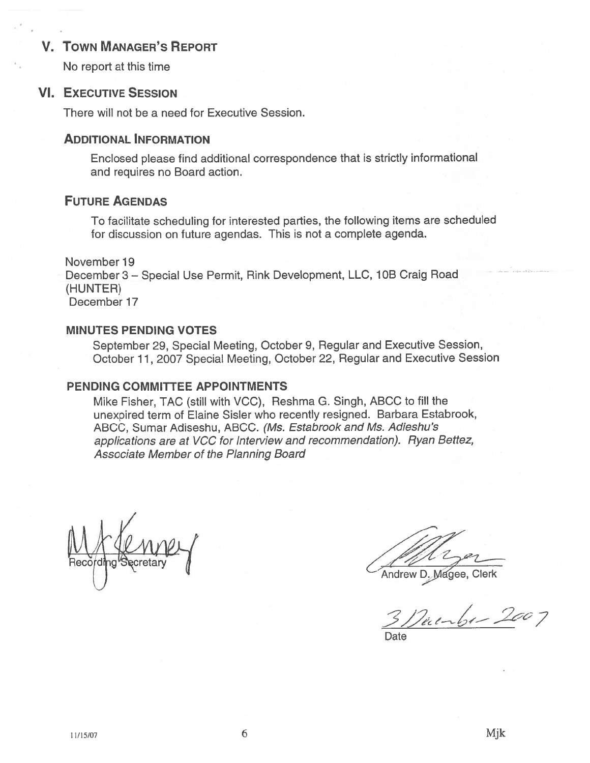# V. TOWN MANAGER'S REPORT

No repor<sup>t</sup> at this time

### **VI. EXECUTIVE SESSION**

There will not be <sup>a</sup> need for Executive Session.

# ADDITIONAL INFORMATION

Enclosed <sup>p</sup>lease find additional correspondence that is strictly informational and requires no Board action.

# FUTURE AGENDAS

To facilitate scheduling for interested parties, the following items are scheduled for discussion on future agendas. This is not <sup>a</sup> complete agenda.

November 19 December 3 — Special Use Permit, Rink Development, LLC, <sup>1</sup> OB Craig Road (HUNTER) December 17

## MINUTES PENDING VOTES

September 29, Special Meeting, October 9, Regular and Executive Session, October 11, 2007 Special Meeting, October 22, Regular and Executive Session

## PENDING COMMITTEE APPOINTMENTS

Mike Fisher, TAC (still with VCC), Reshma G. Singh, ABCC to fill the unexpired term of Elaine Sisler who recently resigned. Barbara Estabrook, ABCC, Sumar Adiseshu, ABCC. (Ms. Estabrook and Ms. Adieshu's applications are at VCC for Interview and recommendation). Ryan Bettez, Associate Member of the Planning Board

Andrew D. Magee, Clerk

 $3$ /)unbr-2007

Date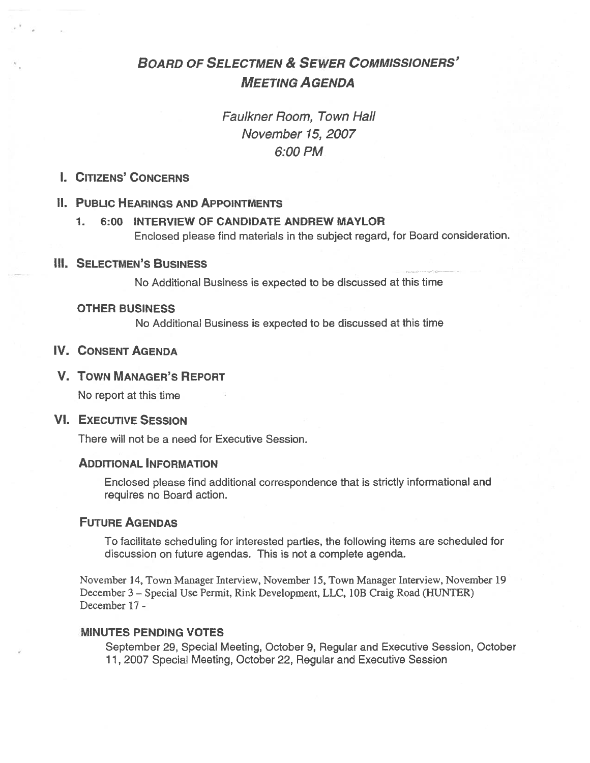# BOARD OF SELECTMEN & SEWER COMMISSIONERS' MEETING AGENDA

# Faulkner Room, Town Hall November 15, 2007 6:00 PM

# I. CITIZENS' CONCERNS

### II. PUBLIC HEARINGS AND APPOiNTMENTS

1. 6:00 INTERVIEW OF CANDIDATE ANDREW MAYLOR Enclosed please find materials in the subject regard, for Board consideration.

### IlL SELECTMEN'S BUSINESS

No Additional Business is expected to be discussed at this time

#### OTHER BUSINESS

No Additional Business is expected to be discussed at this time

# IV. CONSENT AGENDA

### V. TOWN MANAGER'S REPORT

No repor<sup>t</sup> at this time

### VI. EXECUTIVE SESSiON

There will not be <sup>a</sup> need for Executive Session.

### ADDITIONAL INFORMATION

Enclosed please find additional correspondence that is strictly informational and requires no Board action.

#### FUTURE AGENDAS

To facilitate scheduling for interested parties, the following items are scheduled for discussion on future agendas. This is not <sup>a</sup> complete agenda.

November 14, Town Manager Interview, November 15, Town Manager Interview, November 19 December 3 — Special Use Permit, Rink Development, LLC, lOB Craig Road (HUNTER) December 17 -

#### MINUTES PENDING VOTES

September 29, Special Meeting, October 9, Regular and Executive Session, October 11, 2007 Special Meeting, October 22, Regular and Executive Session